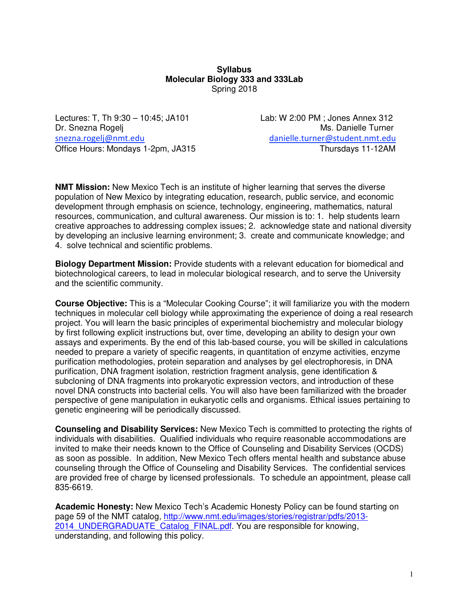### **Syllabus Molecular Biology 333 and 333Lab**  Spring 2018

Lectures: T, Th 9:30 – 10:45; JA101 Lab: W 2:00 PM ; Jones Annex 312 Dr. Snezna Rogelj Ms. Danielle Turner snezna.rogelj@nmt.edu danielle.turner@student.nmt.edu Office Hours: Mondays 1-2pm, JA315 Thursdays 11-12AM

**NMT Mission:** New Mexico Tech is an institute of higher learning that serves the diverse population of New Mexico by integrating education, research, public service, and economic development through emphasis on science, technology, engineering, mathematics, natural resources, communication, and cultural awareness. Our mission is to: 1. help students learn creative approaches to addressing complex issues; 2. acknowledge state and national diversity by developing an inclusive learning environment; 3. create and communicate knowledge; and 4. solve technical and scientific problems.

**Biology Department Mission:** Provide students with a relevant education for biomedical and biotechnological careers, to lead in molecular biological research, and to serve the University and the scientific community.

**Course Objective:** This is a "Molecular Cooking Course"; it will familiarize you with the modern techniques in molecular cell biology while approximating the experience of doing a real research project. You will learn the basic principles of experimental biochemistry and molecular biology by first following explicit instructions but, over time, developing an ability to design your own assays and experiments. By the end of this lab-based course, you will be skilled in calculations needed to prepare a variety of specific reagents, in quantitation of enzyme activities, enzyme purification methodologies, protein separation and analyses by gel electrophoresis, in DNA purification, DNA fragment isolation, restriction fragment analysis, gene identification & subcloning of DNA fragments into prokaryotic expression vectors, and introduction of these novel DNA constructs into bacterial cells. You will also have been familiarized with the broader perspective of gene manipulation in eukaryotic cells and organisms. Ethical issues pertaining to genetic engineering will be periodically discussed.

**Counseling and Disability Services:** New Mexico Tech is committed to protecting the rights of individuals with disabilities. Qualified individuals who require reasonable accommodations are invited to make their needs known to the Office of Counseling and Disability Services (OCDS) as soon as possible. In addition, New Mexico Tech offers mental health and substance abuse counseling through the Office of Counseling and Disability Services. The confidential services are provided free of charge by licensed professionals. To schedule an appointment, please call 835-6619.

**Academic Honesty:** New Mexico Tech's Academic Honesty Policy can be found starting on page 59 of the NMT catalog, http://www.nmt.edu/images/stories/registrar/pdfs/2013- 2014\_UNDERGRADUATE\_Catalog\_FINAL.pdf. You are responsible for knowing, understanding, and following this policy.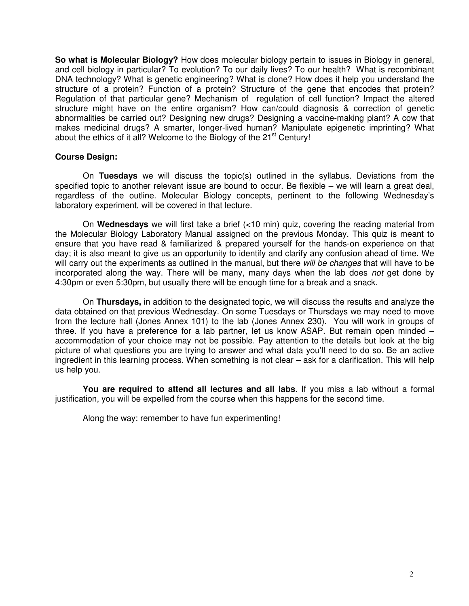**So what is Molecular Biology?** How does molecular biology pertain to issues in Biology in general, and cell biology in particular? To evolution? To our daily lives? To our health? What is recombinant DNA technology? What is genetic engineering? What is clone? How does it help you understand the structure of a protein? Function of a protein? Structure of the gene that encodes that protein? Regulation of that particular gene? Mechanism of regulation of cell function? Impact the altered structure might have on the entire organism? How can/could diagnosis & correction of genetic abnormalities be carried out? Designing new drugs? Designing a vaccine-making plant? A cow that makes medicinal drugs? A smarter, longer-lived human? Manipulate epigenetic imprinting? What about the ethics of it all? Welcome to the Biology of the  $21^{st}$  Century!

#### **Course Design:**

On **Tuesdays** we will discuss the topic(s) outlined in the syllabus. Deviations from the specified topic to another relevant issue are bound to occur. Be flexible – we will learn a great deal, regardless of the outline. Molecular Biology concepts, pertinent to the following Wednesday's laboratory experiment, will be covered in that lecture.

On **Wednesdays** we will first take a brief (<10 min) quiz, covering the reading material from the Molecular Biology Laboratory Manual assigned on the previous Monday. This quiz is meant to ensure that you have read & familiarized & prepared yourself for the hands-on experience on that day; it is also meant to give us an opportunity to identify and clarify any confusion ahead of time. We will carry out the experiments as outlined in the manual, but there will be changes that will have to be incorporated along the way. There will be many, many days when the lab does not get done by 4:30pm or even 5:30pm, but usually there will be enough time for a break and a snack.

On **Thursdays,** in addition to the designated topic, we will discuss the results and analyze the data obtained on that previous Wednesday. On some Tuesdays or Thursdays we may need to move from the lecture hall (Jones Annex 101) to the lab (Jones Annex 230). You will work in groups of three. If you have a preference for a lab partner, let us know ASAP. But remain open minded – accommodation of your choice may not be possible. Pay attention to the details but look at the big picture of what questions you are trying to answer and what data you'll need to do so. Be an active ingredient in this learning process. When something is not clear – ask for a clarification. This will help us help you.

**You are required to attend all lectures and all labs**. If you miss a lab without a formal justification, you will be expelled from the course when this happens for the second time.

Along the way: remember to have fun experimenting!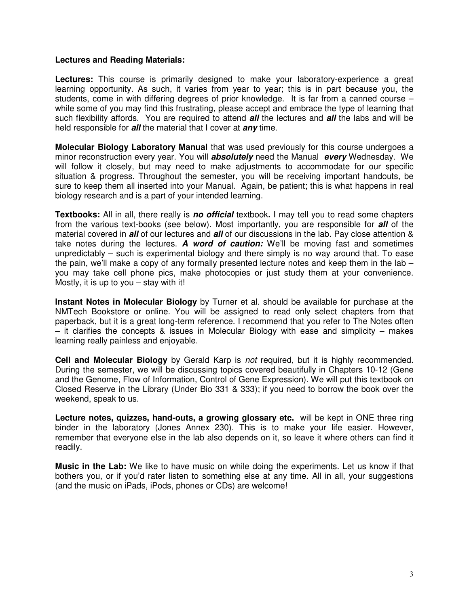### **Lectures and Reading Materials:**

Lectures: This course is primarily designed to make your laboratory-experience a great learning opportunity. As such, it varies from year to year; this is in part because you, the students, come in with differing degrees of prior knowledge. It is far from a canned course – while some of you may find this frustrating, please accept and embrace the type of learning that such flexibility affords. You are required to attend **all** the lectures and **all** the labs and will be held responsible for **all** the material that I cover at **any** time.

**Molecular Biology Laboratory Manual** that was used previously for this course undergoes a minor reconstruction every year. You will **absolutely** need the Manual **every** Wednesday. We will follow it closely, but may need to make adjustments to accommodate for our specific situation & progress. Throughout the semester, you will be receiving important handouts, be sure to keep them all inserted into your Manual. Again, be patient; this is what happens in real biology research and is a part of your intended learning.

**Textbooks:** All in all, there really is **no official** textbook**.** I may tell you to read some chapters from the various text-books (see below). Most importantly, you are responsible for **all** of the material covered in **all** of our lectures and **all** of our discussions in the lab. Pay close attention & take notes during the lectures. **A word of caution:** We'll be moving fast and sometimes unpredictably – such is experimental biology and there simply is no way around that. To ease the pain, we'll make a copy of any formally presented lecture notes and keep them in the lab  $$ you may take cell phone pics, make photocopies or just study them at your convenience. Mostly, it is up to you – stay with it!

**Instant Notes in Molecular Biology** by Turner et al. should be available for purchase at the NMTech Bookstore or online. You will be assigned to read only select chapters from that paperback, but it is a great long-term reference. I recommend that you refer to The Notes often – it clarifies the concepts & issues in Molecular Biology with ease and simplicity – makes learning really painless and enjoyable.

**Cell and Molecular Biology** by Gerald Karp is not required, but it is highly recommended. During the semester, we will be discussing topics covered beautifully in Chapters 10-12 (Gene and the Genome, Flow of Information, Control of Gene Expression). We will put this textbook on Closed Reserve in the Library (Under Bio 331 & 333); if you need to borrow the book over the weekend, speak to us.

**Lecture notes, quizzes, hand-outs, a growing glossary etc.** will be kept in ONE three ring binder in the laboratory (Jones Annex 230). This is to make your life easier. However, remember that everyone else in the lab also depends on it, so leave it where others can find it readily.

**Music in the Lab:** We like to have music on while doing the experiments. Let us know if that bothers you, or if you'd rater listen to something else at any time. All in all, your suggestions (and the music on iPads, iPods, phones or CDs) are welcome!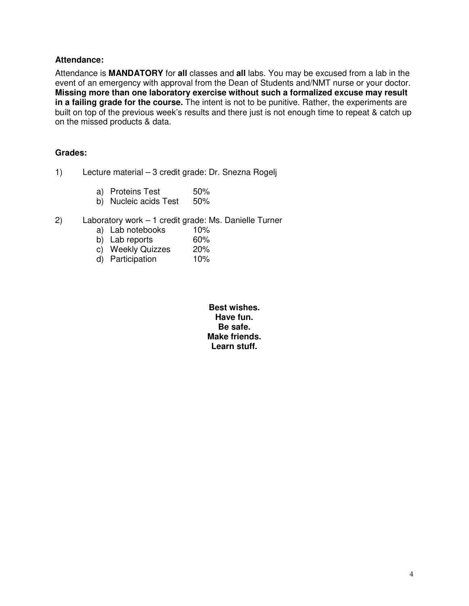### **Attendance:**

Attendance is **MANDATORY** for **all** classes and **all** labs. You may be excused from a lab in the event of an emergency with approval from the Dean of Students and/NMT nurse or your doctor. **Missing more than one laboratory exercise without such a formalized excuse may result in a failing grade for the course.** The intent is not to be punitive. Rather, the experiments are built on top of the previous week's results and there just is not enough time to repeat & catch up on the missed products & data.

### **Grades:**

- 1) Lecture material 3 credit grade: Dr. Snezna Rogelj
	- a) Proteins Test 50%
	- b) Nucleic acids Test 50%
- 2) Laboratory work 1 credit grade: Ms. Danielle Turner
	- a) Lab notebooks 10%<br>b) Lab reports 60%
	- b) Lab reports 60%<br>c) Weekly Quizzes 20%
	- c) Weekly Quizzes
	- d) Participation 10%

**Best wishes. Have fun. Be safe. Make friends. Learn stuff.**